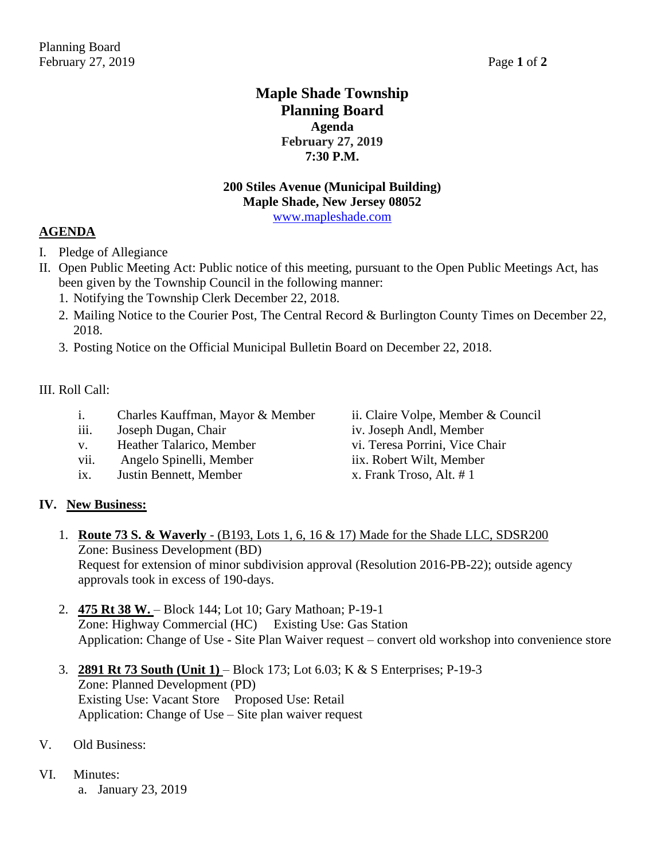# **Maple Shade Township Planning Board Agenda February 27, 2019 7:30 P.M.**

# **200 Stiles Avenue (Municipal Building) Maple Shade, New Jersey 08052**

[www.mapleshade.com](http://www.mapleshade.com/)

# **AGENDA**

- I. Pledge of Allegiance
- II. Open Public Meeting Act: Public notice of this meeting, pursuant to the Open Public Meetings Act, has been given by the Township Council in the following manner:
	- 1. Notifying the Township Clerk December 22, 2018.
	- 2. Mailing Notice to the Courier Post, The Central Record & Burlington County Times on December 22, 2018.
	- 3. Posting Notice on the Official Municipal Bulletin Board on December 22, 2018.

#### III. Roll Call:

- i. Charles Kauffman, Mayor & Member ii. Claire Volpe, Member & Council
- iii. Joseph Dugan, Chair iv. Joseph Andl, Member
- v. Heather Talarico, Member vi. Teresa Porrini, Vice Chair
- vii. Angelo Spinelli, Member iix. Robert Wilt, Member
- ix. Justin Bennett, Member  $x$ . Frank Troso, Alt. # 1
- 
- 
- 

# **IV. New Business:**

- 1. **Route 73 S. & Waverly** (B193, Lots 1, 6, 16 & 17) Made for the Shade LLC, SDSR200 Zone: Business Development (BD) Request for extension of minor subdivision approval (Resolution 2016-PB-22); outside agency approvals took in excess of 190-days.
- 2. **475 Rt 38 W.**  Block 144; Lot 10; Gary Mathoan; P-19-1 Zone: Highway Commercial (HC) Existing Use: Gas Station Application: Change of Use - Site Plan Waiver request – convert old workshop into convenience store
- 3. **2891 Rt 73 South (Unit 1)**  Block 173; Lot 6.03; K & S Enterprises; P-19-3 Zone: Planned Development (PD) Existing Use: Vacant Store Proposed Use: Retail Application: Change of Use – Site plan waiver request
- V. Old Business:
- VI. Minutes:
	- a. January 23, 2019